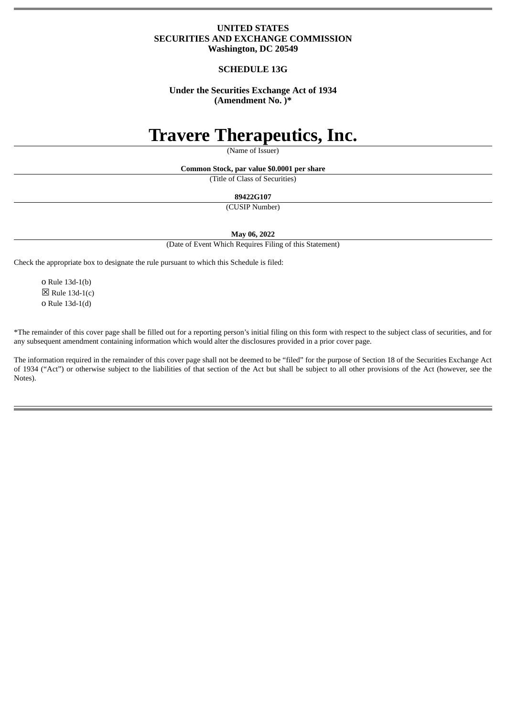# **UNITED STATES SECURITIES AND EXCHANGE COMMISSION Washington, DC 20549**

# **SCHEDULE 13G**

# **Under the Securities Exchange Act of 1934 (Amendment No. )\***

# **Travere Therapeutics, Inc.**

(Name of Issuer)

**Common Stock, par value \$0.0001 per share**

(Title of Class of Securities)

**89422G107**

(CUSIP Number)

**May 06, 2022**

(Date of Event Which Requires Filing of this Statement)

Check the appropriate box to designate the rule pursuant to which this Schedule is filed:

o Rule 13d-1(b)  $\boxtimes$  Rule 13d-1(c) o Rule 13d-1(d)

\*The remainder of this cover page shall be filled out for a reporting person's initial filing on this form with respect to the subject class of securities, and for any subsequent amendment containing information which would alter the disclosures provided in a prior cover page.

The information required in the remainder of this cover page shall not be deemed to be "filed" for the purpose of Section 18 of the Securities Exchange Act of 1934 ("Act") or otherwise subject to the liabilities of that section of the Act but shall be subject to all other provisions of the Act (however, see the Notes).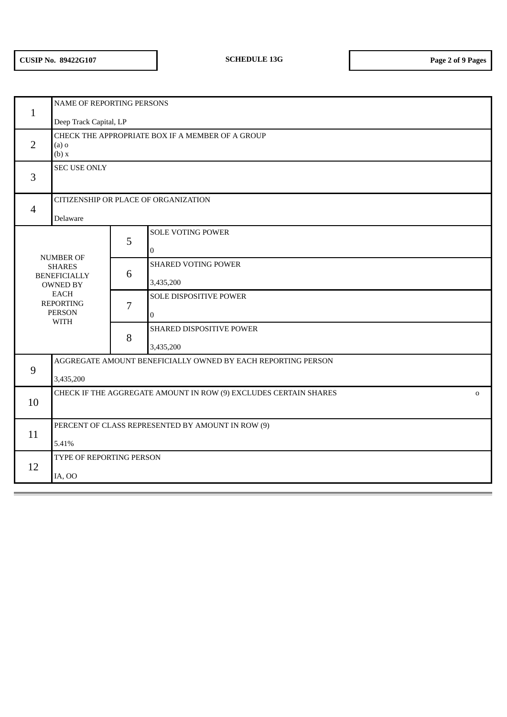| $\mathbf{1}$                                                                                                                                   | NAME OF REPORTING PERSONS                                                       |                |                                            |  |  |  |  |
|------------------------------------------------------------------------------------------------------------------------------------------------|---------------------------------------------------------------------------------|----------------|--------------------------------------------|--|--|--|--|
|                                                                                                                                                | Deep Track Capital, LP                                                          |                |                                            |  |  |  |  |
| $\overline{2}$                                                                                                                                 | CHECK THE APPROPRIATE BOX IF A MEMBER OF A GROUP<br>$(a)$ o<br>(b) x            |                |                                            |  |  |  |  |
| 3                                                                                                                                              | <b>SEC USE ONLY</b>                                                             |                |                                            |  |  |  |  |
| $\overline{4}$                                                                                                                                 | CITIZENSHIP OR PLACE OF ORGANIZATION<br>Delaware                                |                |                                            |  |  |  |  |
| <b>NUMBER OF</b><br><b>SHARES</b><br><b>BENEFICIALLY</b><br><b>OWNED BY</b><br><b>EACH</b><br><b>REPORTING</b><br><b>PERSON</b><br><b>WITH</b> |                                                                                 | 5              | <b>SOLE VOTING POWER</b><br>$\overline{0}$ |  |  |  |  |
|                                                                                                                                                |                                                                                 | 6              | <b>SHARED VOTING POWER</b><br>3,435,200    |  |  |  |  |
|                                                                                                                                                |                                                                                 | $\overline{7}$ | SOLE DISPOSITIVE POWER<br>$\mathbf 0$      |  |  |  |  |
|                                                                                                                                                |                                                                                 | 8              | SHARED DISPOSITIVE POWER<br>3,435,200      |  |  |  |  |
|                                                                                                                                                | AGGREGATE AMOUNT BENEFICIALLY OWNED BY EACH REPORTING PERSON                    |                |                                            |  |  |  |  |
| 9                                                                                                                                              | 3,435,200                                                                       |                |                                            |  |  |  |  |
| 10                                                                                                                                             | CHECK IF THE AGGREGATE AMOUNT IN ROW (9) EXCLUDES CERTAIN SHARES<br>$\mathbf 0$ |                |                                            |  |  |  |  |
| 11                                                                                                                                             | PERCENT OF CLASS REPRESENTED BY AMOUNT IN ROW (9)<br>5.41%                      |                |                                            |  |  |  |  |
| 12                                                                                                                                             | TYPE OF REPORTING PERSON<br>IA, OO                                              |                |                                            |  |  |  |  |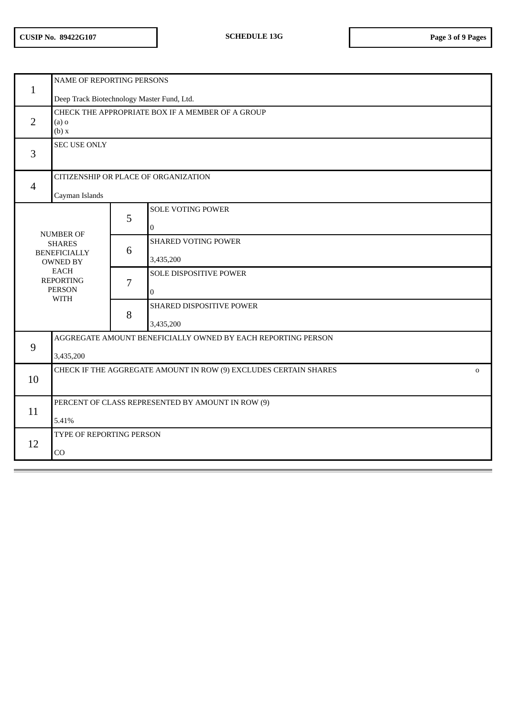| $\mathbf{1}$                                                                                                                                   | NAME OF REPORTING PERSONS                                                       |   |                                         |  |  |  |  |
|------------------------------------------------------------------------------------------------------------------------------------------------|---------------------------------------------------------------------------------|---|-----------------------------------------|--|--|--|--|
|                                                                                                                                                | Deep Track Biotechnology Master Fund, Ltd.                                      |   |                                         |  |  |  |  |
| $\overline{2}$                                                                                                                                 | CHECK THE APPROPRIATE BOX IF A MEMBER OF A GROUP<br>$(a)$ o<br>(b) x            |   |                                         |  |  |  |  |
| 3                                                                                                                                              | <b>SEC USE ONLY</b>                                                             |   |                                         |  |  |  |  |
| $\overline{4}$                                                                                                                                 | CITIZENSHIP OR PLACE OF ORGANIZATION<br>Cayman Islands                          |   |                                         |  |  |  |  |
|                                                                                                                                                |                                                                                 | 5 | SOLE VOTING POWER<br>$\bf{0}$           |  |  |  |  |
| <b>NUMBER OF</b><br><b>SHARES</b><br><b>BENEFICIALLY</b><br><b>OWNED BY</b><br><b>EACH</b><br><b>REPORTING</b><br><b>PERSON</b><br><b>WITH</b> |                                                                                 | 6 | <b>SHARED VOTING POWER</b><br>3,435,200 |  |  |  |  |
|                                                                                                                                                |                                                                                 | 7 | SOLE DISPOSITIVE POWER<br>$\mathbf{0}$  |  |  |  |  |
|                                                                                                                                                |                                                                                 | 8 | SHARED DISPOSITIVE POWER<br>3,435,200   |  |  |  |  |
| 9                                                                                                                                              | AGGREGATE AMOUNT BENEFICIALLY OWNED BY EACH REPORTING PERSON                    |   |                                         |  |  |  |  |
|                                                                                                                                                | 3,435,200                                                                       |   |                                         |  |  |  |  |
| 10                                                                                                                                             | CHECK IF THE AGGREGATE AMOUNT IN ROW (9) EXCLUDES CERTAIN SHARES<br>$\mathbf 0$ |   |                                         |  |  |  |  |
| 11                                                                                                                                             | PERCENT OF CLASS REPRESENTED BY AMOUNT IN ROW (9)<br>5.41%                      |   |                                         |  |  |  |  |
| 12                                                                                                                                             | TYPE OF REPORTING PERSON<br>CO                                                  |   |                                         |  |  |  |  |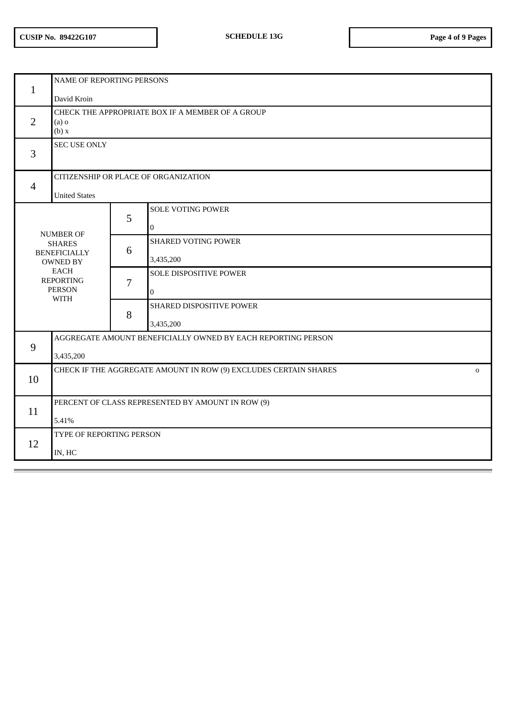| $\mathbf{1}$                                                                                                                                   | NAME OF REPORTING PERSONS<br>David Kroin                                        |                |                                          |  |  |  |
|------------------------------------------------------------------------------------------------------------------------------------------------|---------------------------------------------------------------------------------|----------------|------------------------------------------|--|--|--|
| 2                                                                                                                                              | CHECK THE APPROPRIATE BOX IF A MEMBER OF A GROUP<br>$(a)$ o<br>(b) x            |                |                                          |  |  |  |
| 3                                                                                                                                              | <b>SEC USE ONLY</b>                                                             |                |                                          |  |  |  |
| $\overline{4}$                                                                                                                                 | CITIZENSHIP OR PLACE OF ORGANIZATION<br><b>United States</b>                    |                |                                          |  |  |  |
|                                                                                                                                                |                                                                                 | 5              | <b>SOLE VOTING POWER</b><br>$\mathbf{0}$ |  |  |  |
| <b>NUMBER OF</b><br><b>SHARES</b><br><b>BENEFICIALLY</b><br><b>OWNED BY</b><br><b>EACH</b><br><b>REPORTING</b><br><b>PERSON</b><br><b>WITH</b> |                                                                                 | 6              | <b>SHARED VOTING POWER</b><br>3,435,200  |  |  |  |
|                                                                                                                                                |                                                                                 | $\overline{7}$ | SOLE DISPOSITIVE POWER<br>$\mathbf 0$    |  |  |  |
|                                                                                                                                                |                                                                                 | 8              | SHARED DISPOSITIVE POWER<br>3,435,200    |  |  |  |
|                                                                                                                                                | AGGREGATE AMOUNT BENEFICIALLY OWNED BY EACH REPORTING PERSON                    |                |                                          |  |  |  |
| 9                                                                                                                                              | 3,435,200                                                                       |                |                                          |  |  |  |
| 10                                                                                                                                             | CHECK IF THE AGGREGATE AMOUNT IN ROW (9) EXCLUDES CERTAIN SHARES<br>$\mathbf 0$ |                |                                          |  |  |  |
| 11                                                                                                                                             | PERCENT OF CLASS REPRESENTED BY AMOUNT IN ROW (9)<br>5.41%                      |                |                                          |  |  |  |
| 12                                                                                                                                             | TYPE OF REPORTING PERSON<br>IN, HC                                              |                |                                          |  |  |  |
|                                                                                                                                                |                                                                                 |                |                                          |  |  |  |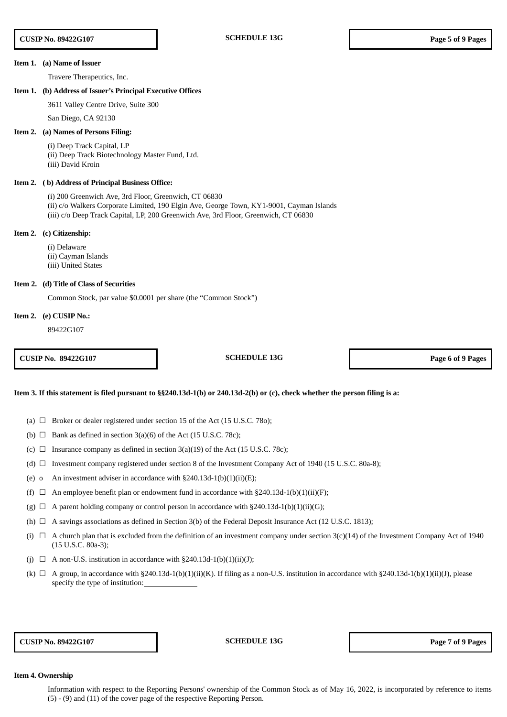#### **Item 1. (a) Name of Issuer**

Travere Therapeutics, Inc.

#### **Item 1. (b) Address of Issuer's Principal Executive Offices**

3611 Valley Centre Drive, Suite 300

San Diego, CA 92130

# **Item 2. (a) Names of Persons Filing:**

(i) Deep Track Capital, LP (ii) Deep Track Biotechnology Master Fund, Ltd. (iii) David Kroin

### **Item 2. ( b) Address of Principal Business Office:**

(i) 200 Greenwich Ave, 3rd Floor, Greenwich, CT 06830 (ii) c/o Walkers Corporate Limited, 190 Elgin Ave, George Town, KY1-9001, Cayman Islands (iii) c/o Deep Track Capital, LP, 200 Greenwich Ave, 3rd Floor, Greenwich, CT 06830

#### **Item 2. (c) Citizenship:**

(i) Delaware (ii) Cayman Islands (iii) United States

#### **Item 2. (d) Title of Class of Securities**

Common Stock, par value \$0.0001 per share (the "Common Stock")

#### **Item 2. (e) CUSIP No.:**

89422G107

**CUSIP No. 89422G107 SCHEDULE 13G Page 6 of 9 Pages**

#### Item 3. If this statement is filed pursuant to §§240.13d-1(b) or 240.13d-2(b) or (c), check whether the person filing is a:

(a)  $\Box$  Broker or dealer registered under section 15 of the Act (15 U.S.C. 780);

- (b)  $\Box$  Bank as defined in section 3(a)(6) of the Act (15 U.S.C. 78c);
- (c)  $\Box$  Insurance company as defined in section 3(a)(19) of the Act (15 U.S.C. 78c);
- (d)  $\Box$  Investment company registered under section 8 of the Investment Company Act of 1940 (15 U.S.C. 80a-8);
- (e) o An investment adviser in accordance with  $\S 240.13d-1(b)(1)(ii)(E)$ ;
- (f)  $\Box$  An employee benefit plan or endowment fund in accordance with §240.13d-1(b)(1)(ii)(F);
- (g)  $\Box$  A parent holding company or control person in accordance with §240.13d-1(b)(1)(ii)(G);
- (h)  $\Box$  A savings associations as defined in Section 3(b) of the Federal Deposit Insurance Act (12 U.S.C. 1813);
- (i)  $\Box$  A church plan that is excluded from the definition of an investment company under section 3(c)(14) of the Investment Company Act of 1940 (15 U.S.C. 80a-3);
- (j)  $\Box$  A non-U.S. institution in accordance with §240.13d-1(b)(1)(ii)(J);
- (k)  $\Box$  A group, in accordance with §240.13d-1(b)(1)(ii)(K). If filing as a non-U.S. institution in accordance with §240.13d-1(b)(1)(ii)(J), please specify the type of institution:

**CUSIP No. 89422G107 SCHEDULE 13G Page 7 of 9 Pages**

#### **Item 4. Ownership**

Information with respect to the Reporting Persons' ownership of the Common Stock as of May 16, 2022, is incorporated by reference to items (5) - (9) and (11) of the cover page of the respective Reporting Person.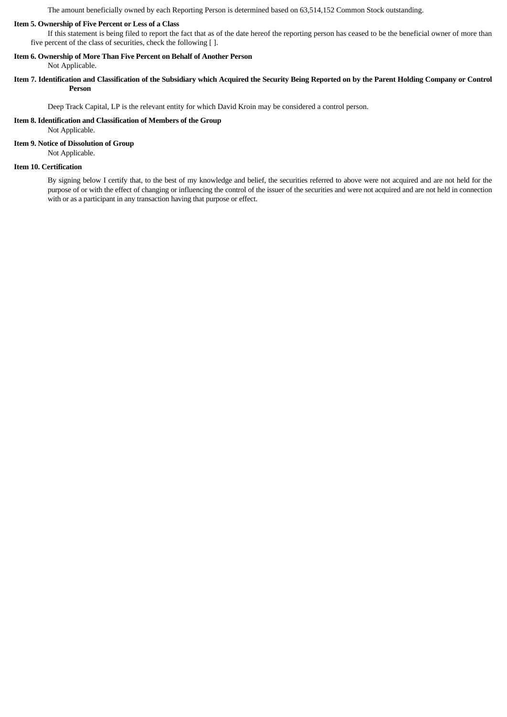The amount beneficially owned by each Reporting Person is determined based on 63,514,152 Common Stock outstanding.

# **Item 5. Ownership of Five Percent or Less of a Class**

If this statement is being filed to report the fact that as of the date hereof the reporting person has ceased to be the beneficial owner of more than five percent of the class of securities, check the following [ ].

# **Item 6. Ownership of More Than Five Percent on Behalf of Another Person**

Not Applicable.

Item 7. Identification and Classification of the Subsidiary which Acquired the Security Being Reported on by the Parent Holding Company or Control **Person**

Deep Track Capital, LP is the relevant entity for which David Kroin may be considered a control person.

# **Item 8. Identification and Classification of Members of the Group**

Not Applicable.

# **Item 9. Notice of Dissolution of Group**

Not Applicable.

## **Item 10. Certification**

By signing below I certify that, to the best of my knowledge and belief, the securities referred to above were not acquired and are not held for the purpose of or with the effect of changing or influencing the control of the issuer of the securities and were not acquired and are not held in connection with or as a participant in any transaction having that purpose or effect.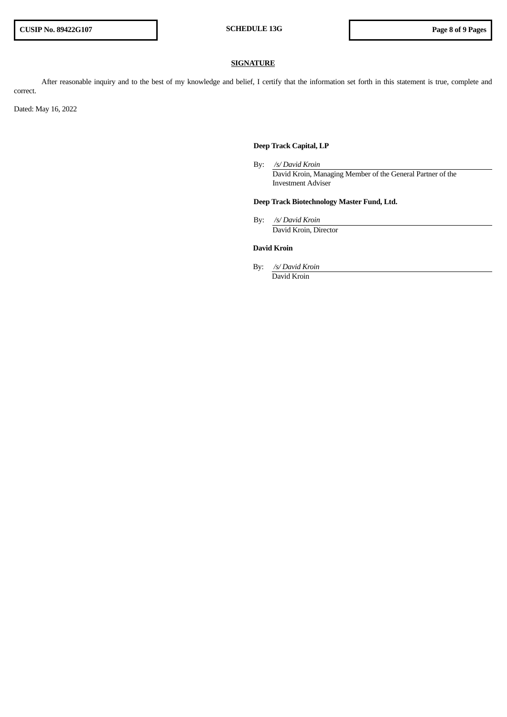# **SIGNATURE**

After reasonable inquiry and to the best of my knowledge and belief, I certify that the information set forth in this statement is true, complete and correct.

Dated: May 16, 2022

# **Deep Track Capital, LP**

By: */s/ David Kroin* David Kroin, Managing Member of the General Partner of the Investment Adviser

# **Deep Track Biotechnology Master Fund, Ltd.**

By: */s/ David Kroin* David Kroin, Director

# **David Kroin**

By: */s/ David Kroin* David Kroin